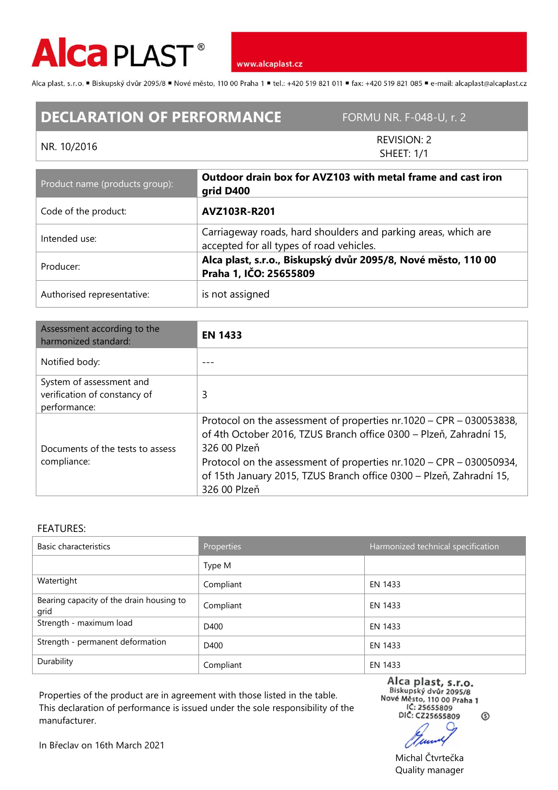

www.alcaplast.cz

Alca plast, s.r.o. ■ Biskupský dvůr 2095/8 ■ Nové město, 110 00 Praha 1 ■ tel.: +420 519 821 011 ■ fax: +420 519 821 085 ■ e-mail: alcaplast@alcaplast.cz

## **DECLARATION OF PERFORMANCE** FORMU NR. F-048-U, r. 2

## NR. 10/2016

REVISION: 2 SHEET: 1/1

| Product name (products group): | Outdoor drain box for AVZ103 with metal frame and cast iron<br>grid D400                                   |  |
|--------------------------------|------------------------------------------------------------------------------------------------------------|--|
| Code of the product:           | AVZ103R-R201                                                                                               |  |
| Intended use:                  | Carriageway roads, hard shoulders and parking areas, which are<br>accepted for all types of road vehicles. |  |
| Producer:                      | Alca plast, s.r.o., Biskupský dvůr 2095/8, Nové město, 110 00<br>Praha 1, IČO: 25655809                    |  |
| Authorised representative:     | is not assigned                                                                                            |  |

| Assessment according to the<br>harmonized standard:                      | <b>EN 1433</b>                                                                                                                                                                                                                                                                                                          |  |
|--------------------------------------------------------------------------|-------------------------------------------------------------------------------------------------------------------------------------------------------------------------------------------------------------------------------------------------------------------------------------------------------------------------|--|
| Notified body:                                                           |                                                                                                                                                                                                                                                                                                                         |  |
| System of assessment and<br>verification of constancy of<br>performance: | 3                                                                                                                                                                                                                                                                                                                       |  |
| Documents of the tests to assess<br>compliance:                          | Protocol on the assessment of properties nr.1020 – CPR – 030053838,<br>of 4th October 2016, TZUS Branch office 0300 - Plzeň, Zahradní 15,<br>326 00 Plzeň<br>Protocol on the assessment of properties nr.1020 – CPR – 030050934,<br>of 15th January 2015, TZUS Branch office 0300 - Plzeň, Zahradní 15,<br>326 00 Plzeň |  |

## FEATURES:

| Basic characteristics                            | Properties | Harmonized technical specification |
|--------------------------------------------------|------------|------------------------------------|
|                                                  | Type M     |                                    |
| Watertight                                       | Compliant  | EN 1433                            |
| Bearing capacity of the drain housing to<br>grid | Compliant  | EN 1433                            |
| Strength - maximum load                          | D400       | EN 1433                            |
| Strength - permanent deformation                 | D400       | EN 1433                            |
| Durability                                       | Compliant  | EN 1433                            |

Properties of the product are in agreement with those listed in the table. This declaration of performance is issued under the sole responsibility of the manufacturer.

Alca plast, s.r.o.<br>Biskupský dvůr 2095/8<br>Nové Město, 110 00 Praha 1<br>IC: 235655809 DIČ: CZ25655809 ⊚

In Břeclav on 16th March 2021

Michal Čtvrtečka Quality manager